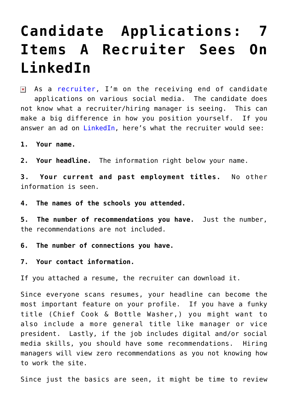## **[Candidate Applications: 7](https://www.commpro.biz/candidate-applications-7-items-a-recruiter-sees-on-linkedin/) [Items A Recruiter Sees On](https://www.commpro.biz/candidate-applications-7-items-a-recruiter-sees-on-linkedin/) [LinkedIn](https://www.commpro.biz/candidate-applications-7-items-a-recruiter-sees-on-linkedin/)**

 $\boxed{\mathbf{x}}$  As a [recruiter,](https://www.commpro.biz/hiring-hub-blog/) I'm on the receiving end of candidate applications on various social media. The candidate does not know what a recruiter/hiring manager is seeing. This can make a big difference in how you position yourself. If you answer an ad on [LinkedIn,](https://www.google.com/url?sa=t&rct=j&q=&esrc=s&source=web&cd=1&cad=rja&uact=8&ved=0ahUKEwi0soi29qLLAhVBPz4KHYyeCxsQFggeMAA&url=https%3A%2F%2Fwww.linkedin.com%2F&usg=AFQjCNGiwAtVHYoDIGAsNBPACdQxEc-uEQ) here's what the recruiter would see:

**1. Your name.**

**2. Your headline.** The information right below your name.

**3. Your current and past employment titles.** No other information is seen.

**4. The names of the schools you attended.**

**5. The number of recommendations you have.** Just the number, the recommendations are not included.

**6. The number of connections you have.**

**7. Your contact information.**

If you attached a resume, the recruiter can download it.

Since everyone scans resumes, your headline can become the most important feature on your profile. If you have a funky title (Chief Cook & Bottle Washer,) you might want to also include a more general title like manager or vice president. Lastly, if the job includes digital and/or social media skills, you should have some recommendations. Hiring managers will view zero recommendations as you not knowing how to work the site.

Since just the basics are seen, it might be time to review